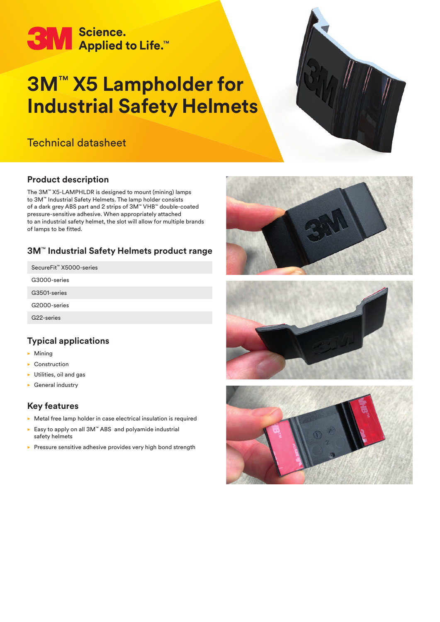# **3M** Science.<br>Applied to Life.<sup>14</sup>

# **3M**™ **X5 Lampholder for Industrial Safety Helmets**

# Technical datasheet



# **Product description**

The 3M™ X5-LAMPHLDR is designed to mount (mining) lamps to 3M™ Industrial Safety Helmets. The lamp holder consists of a dark grey ABS part and 2 strips of 3M™ VHB™ double-coated pressure-sensitive adhesive. When appropriately attached to an industrial safety helmet, the slot will allow for multiple brands of lamps to be fitted.

# **3M**™ **Industrial Safety Helmets product range**

SecureFit™ X5000-series

G3000-series

G3501-series

G2000-series

G22-series

### **Typical applications**

- $\blacktriangleright$  Mining
- $\blacktriangleright$  Construction
- $\blacktriangleright$  Utilities, oil and gas
- $\blacktriangleright$  General industry

#### **Key features**

- $\triangleright$  Metal free lamp holder in case electrical insulation is required
- ► Easy to apply on all 3M™ ABS and polyamide industrial safety helmets
- $\blacktriangleright$  Pressure sensitive adhesive provides very high bond strength